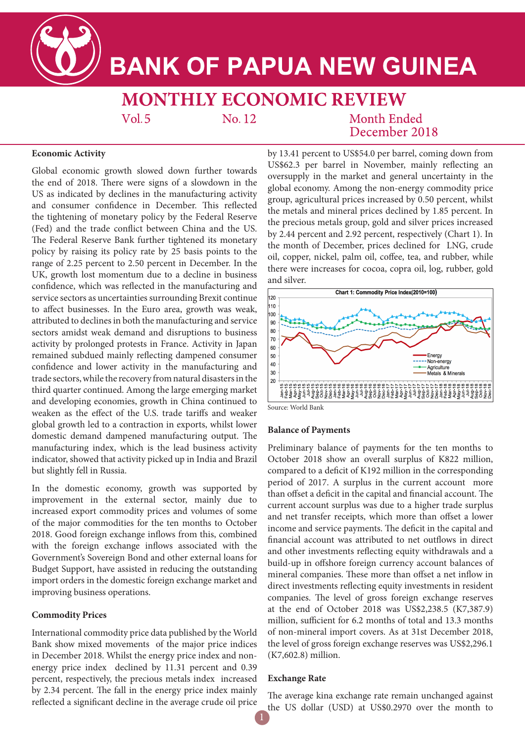

# **BANK OF PAPUA NEW GUINEA**

**MONTHLY ECONOMIC REVIEW**  $Vol.5$ No. 12

## Month Ended December 2018

#### **Economic Activity**

Global economic growth slowed down further towards the end of 2018. There were signs of a slowdown in the US as indicated by declines in the manufacturing activity and consumer confidence in December. This reflected the tightening of monetary policy by the Federal Reserve (Fed) and the trade conflict between China and the US. The Federal Reserve Bank further tightened its monetary policy by raising its policy rate by 25 basis points to the range of 2.25 percent to 2.50 percent in December. In the UK, growth lost momentum due to a decline in business confidence, which was reflected in the manufacturing and service sectors as uncertainties surrounding Brexit continue to affect businesses. In the Euro area, growth was weak, attributed to declines in both the manufacturing and service sectors amidst weak demand and disruptions to business activity by prolonged protests in France. Activity in Japan remained subdued mainly reflecting dampened consumer confidence and lower activity in the manufacturing and trade sectors, while the recovery from natural disasters in the third quarter continued. Among the large emerging market and developing economies, growth in China continued to weaken as the effect of the U.S. trade tariffs and weaker global growth led to a contraction in exports, whilst lower domestic demand dampened manufacturing output. The manufacturing index, which is the lead business activity indicator, showed that activity picked up in India and Brazil but slightly fell in Russia.

In the domestic economy, growth was supported by improvement in the external sector, mainly due to increased export commodity prices and volumes of some of the major commodities for the ten months to October 2018. Good foreign exchange inflows from this, combined with the foreign exchange inflows associated with the Government's Sovereign Bond and other external loans for Budget Support, have assisted in reducing the outstanding import orders in the domestic foreign exchange market and improving business operations.

#### **Commodity Prices**

International commodity price data published by the World Bank show mixed movements of the major price indices in December 2018. Whilst the energy price index and nonenergy price index declined by 11.31 percent and 0.39 percent, respectively, the precious metals index increased by 2.34 percent. The fall in the energy price index mainly reflected a significant decline in the average crude oil price by 13.41 percent to US\$54.0 per barrel, coming down from US\$62.3 per barrel in November, mainly reflecting an oversupply in the market and general uncertainty in the global economy. Among the non-energy commodity price group, agricultural prices increased by 0.50 percent, whilst the metals and mineral prices declined by 1.85 percent. In the precious metals group, gold and silver prices increased by 2.44 percent and 2.92 percent, respectively (Chart 1). In the month of December, prices declined for LNG, crude oil, copper, nickel, palm oil, coffee, tea, and rubber, while there were increases for cocoa, copra oil, log, rubber, gold and silver.



#### Source: World Bank

#### **Balance of Payments**

Preliminary balance of payments for the ten months to October 2018 show an overall surplus of K822 million, compared to a deficit of K192 million in the corresponding period of 2017. A surplus in the current account more than offset a deficit in the capital and financial account. The current account surplus was due to a higher trade surplus and net transfer receipts, which more than offset a lower income and service payments. The deficit in the capital and financial account was attributed to net outflows in direct and other investments reflecting equity withdrawals and a build-up in offshore foreign currency account balances of mineral companies. These more than offset a net inflow in direct investments reflecting equity investments in resident companies. The level of gross foreign exchange reserves at the end of October 2018 was US\$2,238.5 (K7,387.9) million, sufficient for 6.2 months of total and 13.3 months of non-mineral import covers. As at 31st December 2018, the level of gross foreign exchange reserves was US\$2,296.1 (K7,602.8) million.

#### **Exchange Rate**

The average kina exchange rate remain unchanged against the US dollar (USD) at US\$0.2970 over the month to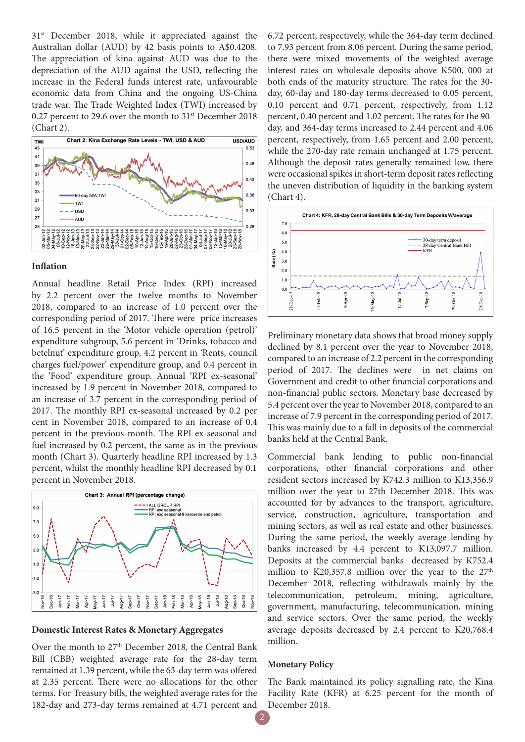31<sup>st</sup> December 2018, while it appreciated against the Australian dollar (AUD) by 42 basis points to A\$0.4208. The appreciation of kina against AUD was due to the depreciation of the AUD against the USD, reflecting the increase in the Federal funds interest rate, unfavourable economic data from China and the ongoing US-China trade war. The Trade Weighted Index (TWI) increased by 0.27 percent to 29.6 over the month to 31<sup>st</sup> December 2018 (Chart 2).



#### **Inflation**

Annual headline Retail Price Index (RPI) increased by 2.2 percent over the twelve months to November 2018, compared to an increase of 1.0 percent over the corresponding period of 2017. There were price increases of 16.5 percent in the 'Motor vehicle operation (petrol)' expenditure subgroup, 5.6 percent in 'Drinks, tobacco and betelnut' expenditure group, 4.2 percent in 'Rents, council charges fuel/power' expenditure group, and 0.4 percent in the 'Food' expenditure group. Annual 'RPI ex-seasonal' increased by 1.9 percent in November 2018, compared to an increase of 3.7 percent in the corresponding period of 2017. The monthly RPI ex-seasonal increased by 0.2 per cent in November 2018, compared to an increase of 0.4 percent in the previous month. The RPI ex-seasonal and fuel increased by 0.2 percent, the same as in the previous month (Chart 3). Quarterly headline RPI increased by 1.3 percent, whilst the monthly headline RPI decreased by 0.1 percent in November 2018.



#### **Domestic Interest Rates & Monetary Aggregates**

Over the month to 27<sup>th</sup> December 2018, the Central Bank Bill (CBB) weighted average rate for the 28-day term remained at 1.39 percent, while the 63-day term was offered at 2.35 percent. There were no allocations for the other terms. For Treasury bills, the weighted average rates for the 182-day and 273-day terms remained at 4.71 percent and

6.72 percent, respectively, while the 364-day term declined to 7.93 percent from 8.06 percent. During the same period, there were mixed movements of the weighted average interest rates on wholesale deposits above K500, 000 at both ends of the maturity structure. The rates for the 30 day, 60-day and 180-day terms decreased to 0.05 percent, 0.10 percent and 0.71 percent, respectively, from 1.12 percent, 0.40 percent and 1.02 percent. The rates for the 90 day, and 364-day terms increased to 2.44 percent and 4.06 percent, respectively, from 1.65 percent and 2.00 percent, while the 270-day rate remain unchanged at 1.75 percent. Although the deposit rates generally remained low, there were occasional spikes in short-term deposit rates reflecting the uneven distribution of liquidity in the banking system (Chart 4).



Preliminary monetary data shows that broad money supply declined by 8.1 percent over the year to November 2018, compared to an increase of 2.2 percent in the corresponding period of 2017. The declines were in net claims on Government and credit to other financial corporations and non-financial public sectors. Monetary base decreased by 5.4 percent over the year to November 2018, compared to an increase of 7.9 percent in the corresponding period of 2017. This was mainly due to a fall in deposits of the commercial banks held at the Central Bank.

Commercial bank lending to public non-financial corporations, other financial corporations and other resident sectors increased by K742.3 million to K13,356.9 million over the year to 27th December 2018. This was accounted for by advances to the transport, agriculture, service, construction, agriculture, transportation and mining sectors, as well as real estate and other businesses. During the same period, the weekly average lending by banks increased by 4.4 percent to K13,097.7 million. Deposits at the commercial banks decreased by K752.4 million to K20,357.8 million over the year to the  $27<sup>th</sup>$ December 2018, reflecting withdrawals mainly by the telecommunication, petroleum, mining, agriculture, government, manufacturing, telecommunication, mining and service sectors. Over the same period, the weekly average deposits decreased by 2.4 percent to K20,768.4 million.

#### **Monetary Policy**

The Bank maintained its policy signalling rate, the Kina Facility Rate (KFR) at 6.25 percent for the month of December 2018.